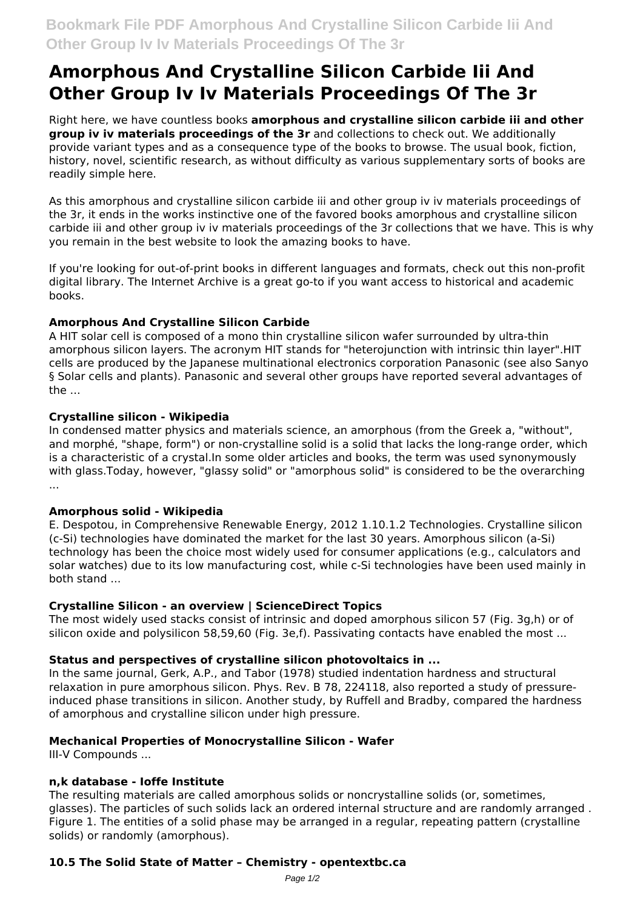# **Amorphous And Crystalline Silicon Carbide Iii And Other Group Iv Iv Materials Proceedings Of The 3r**

Right here, we have countless books **amorphous and crystalline silicon carbide iii and other group iv iv materials proceedings of the 3r** and collections to check out. We additionally provide variant types and as a consequence type of the books to browse. The usual book, fiction, history, novel, scientific research, as without difficulty as various supplementary sorts of books are readily simple here.

As this amorphous and crystalline silicon carbide iii and other group iv iv materials proceedings of the 3r, it ends in the works instinctive one of the favored books amorphous and crystalline silicon carbide iii and other group iv iv materials proceedings of the 3r collections that we have. This is why you remain in the best website to look the amazing books to have.

If you're looking for out-of-print books in different languages and formats, check out this non-profit digital library. The Internet Archive is a great go-to if you want access to historical and academic books.

# **Amorphous And Crystalline Silicon Carbide**

A HIT solar cell is composed of a mono thin crystalline silicon wafer surrounded by ultra-thin amorphous silicon layers. The acronym HIT stands for "heterojunction with intrinsic thin layer".HIT cells are produced by the Japanese multinational electronics corporation Panasonic (see also Sanyo § Solar cells and plants). Panasonic and several other groups have reported several advantages of the ...

# **Crystalline silicon - Wikipedia**

In condensed matter physics and materials science, an amorphous (from the Greek a, "without", and morphé, "shape, form") or non-crystalline solid is a solid that lacks the long-range order, which is a characteristic of a crystal.In some older articles and books, the term was used synonymously with glass.Today, however, "glassy solid" or "amorphous solid" is considered to be the overarching ...

### **Amorphous solid - Wikipedia**

E. Despotou, in Comprehensive Renewable Energy, 2012 1.10.1.2 Technologies. Crystalline silicon (c-Si) technologies have dominated the market for the last 30 years. Amorphous silicon (a-Si) technology has been the choice most widely used for consumer applications (e.g., calculators and solar watches) due to its low manufacturing cost, while c-Si technologies have been used mainly in both stand ...

### **Crystalline Silicon - an overview | ScienceDirect Topics**

The most widely used stacks consist of intrinsic and doped amorphous silicon 57 (Fig. 3g,h) or of silicon oxide and polysilicon 58,59,60 (Fig. 3e,f). Passivating contacts have enabled the most ...

### **Status and perspectives of crystalline silicon photovoltaics in ...**

In the same journal, Gerk, A.P., and Tabor (1978) studied indentation hardness and structural relaxation in pure amorphous silicon. Phys. Rev. B 78, 224118, also reported a study of pressureinduced phase transitions in silicon. Another study, by Ruffell and Bradby, compared the hardness of amorphous and crystalline silicon under high pressure.

# **Mechanical Properties of Monocrystalline Silicon - Wafer**

III-V Compounds ...

### **n,k database - Ioffe Institute**

The resulting materials are called amorphous solids or noncrystalline solids (or, sometimes, glasses). The particles of such solids lack an ordered internal structure and are randomly arranged . Figure 1. The entities of a solid phase may be arranged in a regular, repeating pattern (crystalline solids) or randomly (amorphous).

# **10.5 The Solid State of Matter – Chemistry - opentextbc.ca**